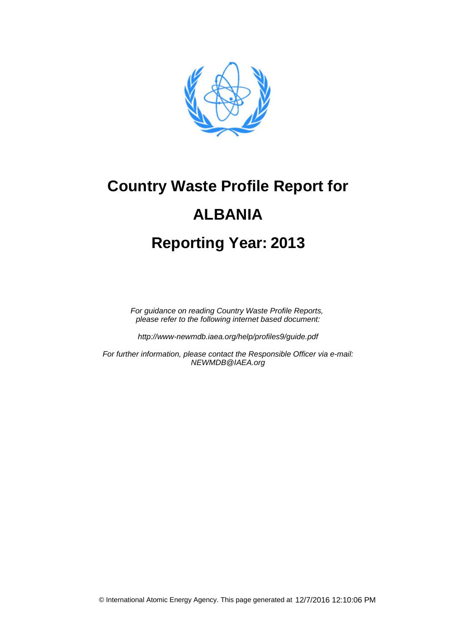

# **Country Waste Profile Report for 2013 Reporting Year: ALBANIA**

For guidance on reading Country Waste Profile Reports, please refer to the following internet based document:

http://www-newmdb.iaea.org/help/profiles9/guide.pdf

For further information, please contact the Responsible Officer via e-mail: NEWMDB@IAEA.org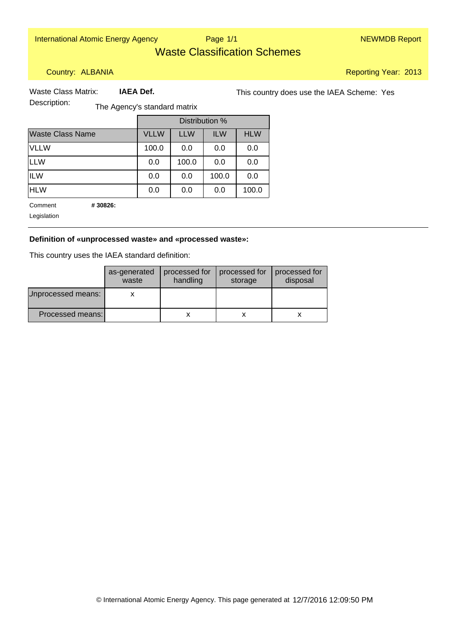International Atomic Energy Agency Nege 1/1 New York 2012 12:00 NEWMDB Report

Page 1/1

### Waste Classification Schemes

Country: ALBANIA

Reporting Year: 2013

 **IAEA Def.**

Waste Class Matrix: **IAEA Def.** This country does use the IAEA Scheme: Yes

Description: The Agency's standard matrix

|                         |             | Distribution % |            |            |
|-------------------------|-------------|----------------|------------|------------|
| <b>Waste Class Name</b> | <b>VLLW</b> | <b>LLW</b>     | <b>ILW</b> | <b>HLW</b> |
| <b>VLLW</b>             | 100.0       | 0.0            | 0.0        | 0.0        |
| <b>LLW</b>              | 0.0         | 100.0          | 0.0        | 0.0        |
| <b>ILW</b>              | 0.0         | 0.0            | 100.0      | 0.0        |
| <b>HLW</b>              | 0.0         | 0.0            | 0.0        | 100.0      |

 **# 30826:**  Comment

Legislation

#### **Definition of «unprocessed waste» and «processed waste»:**

This country uses the IAEA standard definition:

|                    | as-generated<br>waste | processed for<br>handling | processed for<br>storage | processed for<br>disposal |
|--------------------|-----------------------|---------------------------|--------------------------|---------------------------|
| Jnprocessed means: |                       |                           |                          |                           |
| Processed means:   |                       |                           |                          |                           |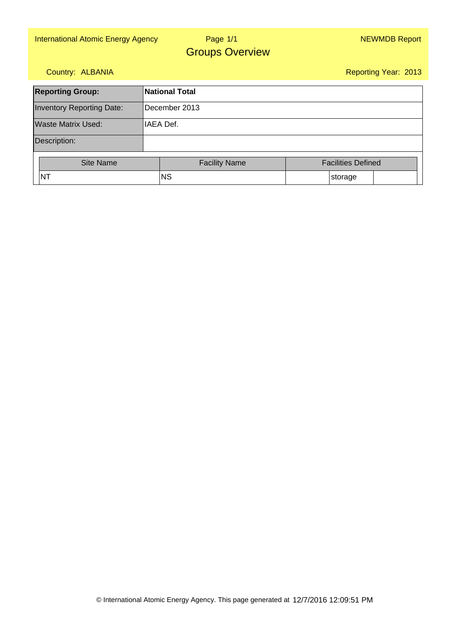#### Page 1/1Groups Overview

#### Country: ALBANIA

| <b>Reporting Group:</b>          | <b>National Total</b> |                           |  |  |  |
|----------------------------------|-----------------------|---------------------------|--|--|--|
| <b>Inventory Reporting Date:</b> | December 2013         |                           |  |  |  |
| Waste Matrix Used:               | IAEA Def.             |                           |  |  |  |
| Description:                     |                       |                           |  |  |  |
| <b>Site Name</b>                 | <b>Facility Name</b>  | <b>Facilities Defined</b> |  |  |  |
| <b>NT</b>                        | <b>NS</b>             | storage                   |  |  |  |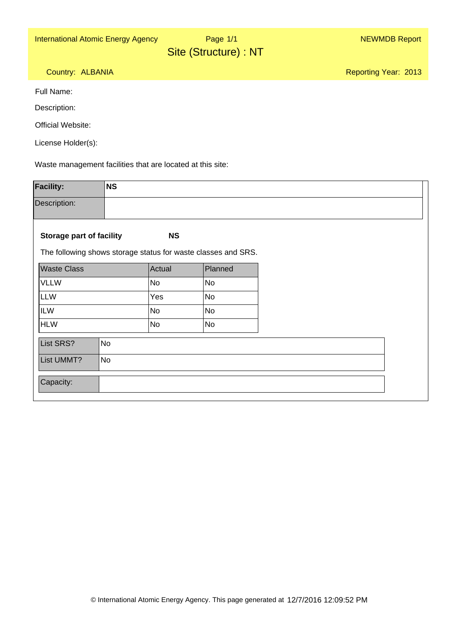Page 1/1

Site (Structure) : NT

Reporting Year: 2013

Country: ALBANIA

Full Name:

Description:

Official Website:

License Holder(s):

Waste management facilities that are located at this site:

| <b>Facility:</b>                                              | <b>NS</b> |           |           |
|---------------------------------------------------------------|-----------|-----------|-----------|
| Description:                                                  |           |           |           |
|                                                               |           |           |           |
| <b>Storage part of facility</b>                               |           | <b>NS</b> |           |
| The following shows storage status for waste classes and SRS. |           |           |           |
| <b>Waste Class</b>                                            |           | Actual    | Planned   |
| <b>VLLW</b>                                                   |           | <b>No</b> | <b>No</b> |
| LLW                                                           |           | Yes       | <b>No</b> |
| <b>ILW</b>                                                    |           | <b>No</b> | No        |
| HLW                                                           |           | <b>No</b> | <b>No</b> |
| List SRS?                                                     | No        |           |           |
| List UMMT?                                                    | No        |           |           |
|                                                               |           |           |           |
| Capacity:                                                     |           |           |           |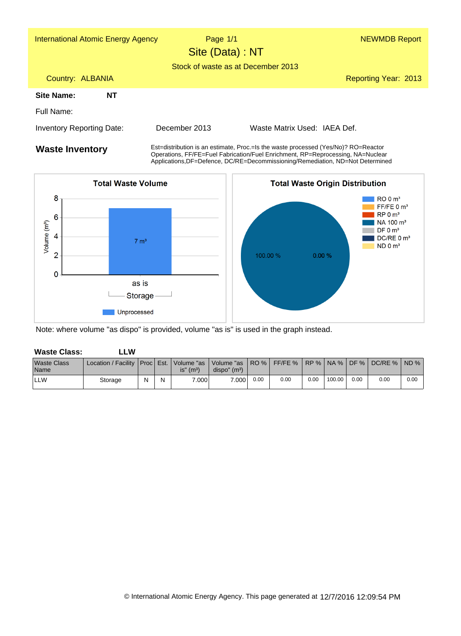| <b>International Atomic Energy Agency</b> | Page 1/1<br>Site (Data) : NT                                                                                                                                          |                              | <b>NEWMDB Report</b> |  |  |
|-------------------------------------------|-----------------------------------------------------------------------------------------------------------------------------------------------------------------------|------------------------------|----------------------|--|--|
|                                           | Stock of waste as at December 2013                                                                                                                                    |                              |                      |  |  |
| Country: ALBANIA                          |                                                                                                                                                                       |                              | Reporting Year: 2013 |  |  |
| Site Name:<br>ΝT                          |                                                                                                                                                                       |                              |                      |  |  |
| Full Name:                                |                                                                                                                                                                       |                              |                      |  |  |
| Inventory Reporting Date:                 | December 2013                                                                                                                                                         | Waste Matrix Used: IAEA Def. |                      |  |  |
| <b>Waste Inventory</b>                    | Est=distribution is an estimate, Proc.=Is the waste processed (Yes/No)? RO=Reactor<br>Operations, FF/FE=Fuel Fabrication/Fuel Enrichment, RP=Reprocessing, NA=Nuclear |                              |                      |  |  |

Applications,DF=Defence, DC/RE=Decommissioning/Remediation, ND=Not Determined



Note: where volume "as dispo" is provided, volume "as is" is used in the graph instead.

| <b>Waste Class:</b>               | LW.                                                                                                                |   |   |                          |                           |      |      |      |        |      |      |      |
|-----------------------------------|--------------------------------------------------------------------------------------------------------------------|---|---|--------------------------|---------------------------|------|------|------|--------|------|------|------|
| <b>Waste Class</b><br><b>Name</b> | Location / Facility   Proc   Est.   Volume "as   Volume "as   RO %   FF/FE %   RP %   NA %   DF %   DC/RE %   ND % |   |   | $is''$ (m <sup>3</sup> ) | dispo'' (m <sup>3</sup> ) |      |      |      |        |      |      |      |
| <b>ILLW</b>                       | Storage                                                                                                            | N | N | 7.0001                   | 7.000                     | 0.00 | 0.00 | 0.00 | 100.00 | 0.00 | 0.00 | 0.00 |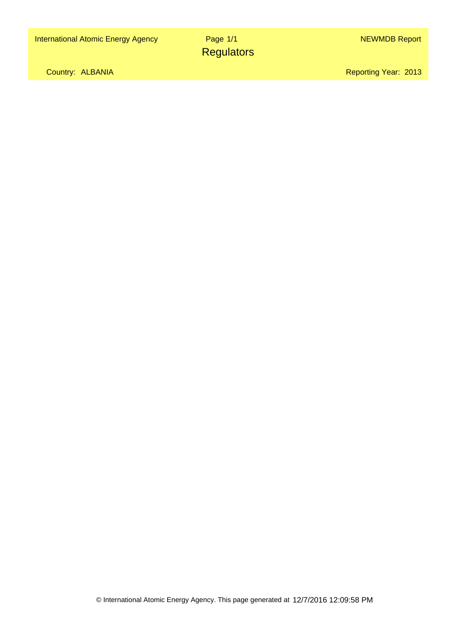Country: ALBANIA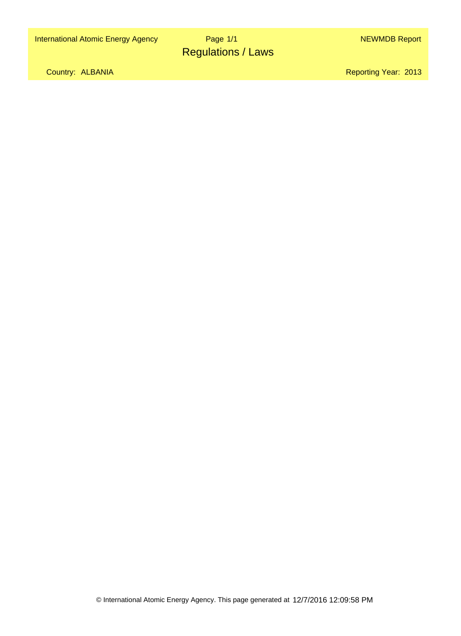### Page 1/1Regulations / Laws

Country: ALBANIA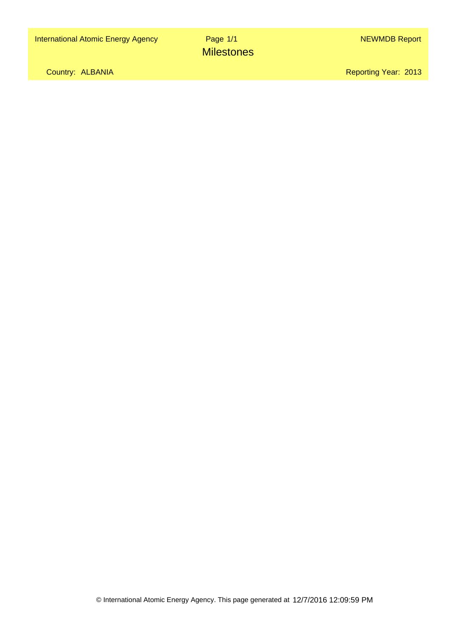Page 1/1**Milestones** 

Country: ALBANIA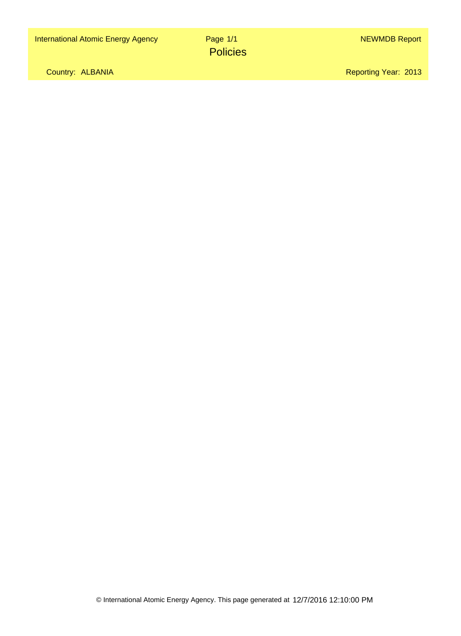Page 1/1**Policies** 

Country: ALBANIA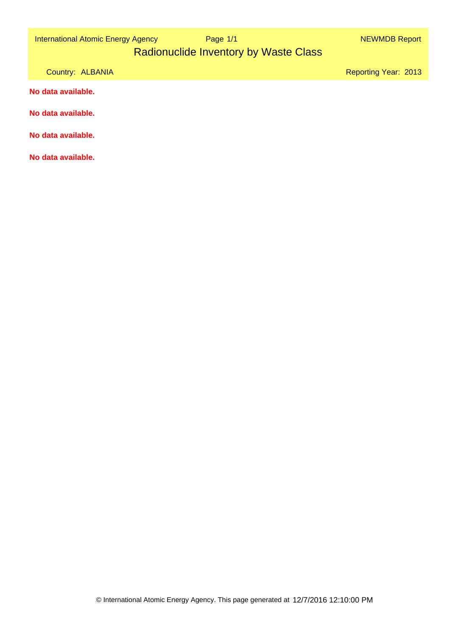| <b>International Atomic Energy Agency</b> |  |  |  |
|-------------------------------------------|--|--|--|
|-------------------------------------------|--|--|--|

# Radionuclide Inventory by Waste Class

Country: ALBANIA

Reporting Year: 2013

**No data available.**

**No data available.**

**No data available.**

**No data available.**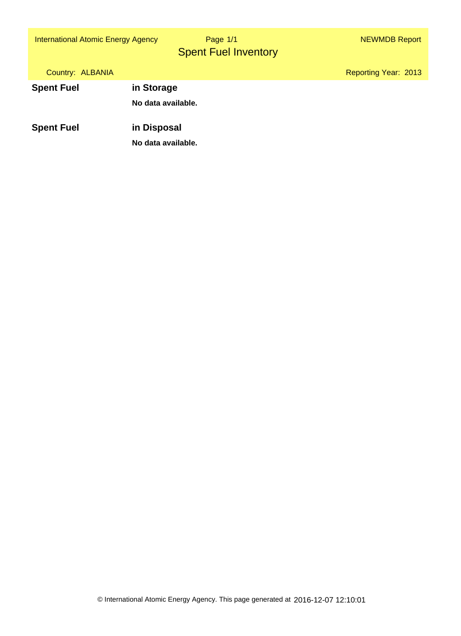International Atomic Energy Agency **1999 Page 1/1** NEWMOB Report

Spent Fuel Inventory Page 1/1

| Country: ALBANIA  |                                   | <b>Reporting Year: 2013</b> |
|-------------------|-----------------------------------|-----------------------------|
| <b>Spent Fuel</b> | in Storage                        |                             |
|                   | No data available.                |                             |
| <b>Spent Fuel</b> | in Disposal<br>No data available. |                             |
|                   |                                   |                             |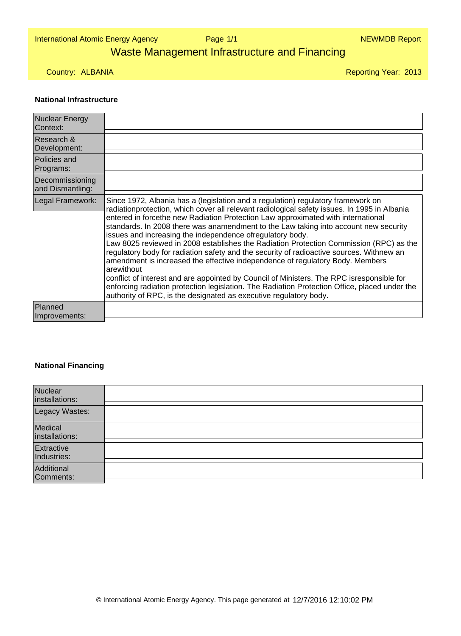Page 1/1

## Waste Management Infrastructure and Financing

Country: ALBANIA

Reporting Year: 2013

#### **National Infrastructure**

| <b>Nuclear Energy</b><br>Context:   |                                                                                                                                                                                                                                                                                                                                                                                                                                                                                                                                                                                                                                                                                                                                                                                                                                                                                                                                                                                   |
|-------------------------------------|-----------------------------------------------------------------------------------------------------------------------------------------------------------------------------------------------------------------------------------------------------------------------------------------------------------------------------------------------------------------------------------------------------------------------------------------------------------------------------------------------------------------------------------------------------------------------------------------------------------------------------------------------------------------------------------------------------------------------------------------------------------------------------------------------------------------------------------------------------------------------------------------------------------------------------------------------------------------------------------|
| Research &<br>Development:          |                                                                                                                                                                                                                                                                                                                                                                                                                                                                                                                                                                                                                                                                                                                                                                                                                                                                                                                                                                                   |
| Policies and<br>Programs:           |                                                                                                                                                                                                                                                                                                                                                                                                                                                                                                                                                                                                                                                                                                                                                                                                                                                                                                                                                                                   |
| Decommissioning<br>and Dismantling: |                                                                                                                                                                                                                                                                                                                                                                                                                                                                                                                                                                                                                                                                                                                                                                                                                                                                                                                                                                                   |
| Legal Framework:                    | Since 1972, Albania has a (legislation and a regulation) regulatory framework on<br>radiationprotection, which cover all relevant radiological safety issues. In 1995 in Albania<br>entered in forcethe new Radiation Protection Law approximated with international<br>standards. In 2008 there was anamendment to the Law taking into account new security<br>issues and increasing the independence ofregulatory body.<br>Law 8025 reviewed in 2008 establishes the Radiation Protection Commission (RPC) as the<br>regulatory body for radiation safety and the security of radioactive sources. Withnew an<br>amendment is increased the effective independence of regulatory Body. Members<br>arewithout<br>conflict of interest and are appointed by Council of Ministers. The RPC isresponsible for<br>enforcing radiation protection legislation. The Radiation Protection Office, placed under the<br>authority of RPC, is the designated as executive regulatory body. |
| Planned<br>Improvements:            |                                                                                                                                                                                                                                                                                                                                                                                                                                                                                                                                                                                                                                                                                                                                                                                                                                                                                                                                                                                   |

#### **National Financing**

| Nuclear<br>installations: |  |
|---------------------------|--|
| Legacy Wastes:            |  |
| Medical<br>installations: |  |
| Extractive<br>Industries: |  |
| Additional<br>Comments:   |  |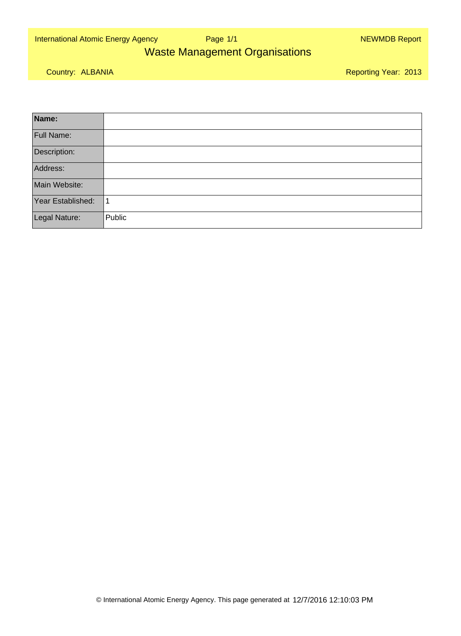International Atomic Energy Agency New York Page 1/1 New York New York NEWMDB Report

Page 1/1

### Waste Management Organisations

Country: ALBANIA

| Name:             |        |
|-------------------|--------|
| Full Name:        |        |
| Description:      |        |
| Address:          |        |
| Main Website:     |        |
| Year Established: |        |
| Legal Nature:     | Public |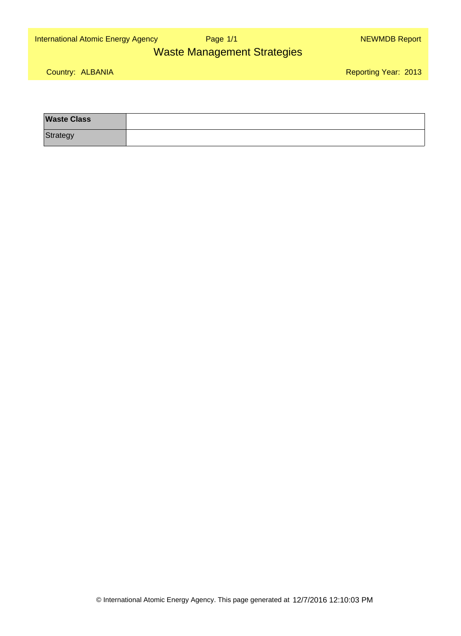International Atomic Energy Agency New York Page 1/1 New York New York NEWMDB Report

Page 1/1

### Waste Management Strategies

Country: ALBANIA

| <b>Waste Class</b> |  |
|--------------------|--|
| Strategy           |  |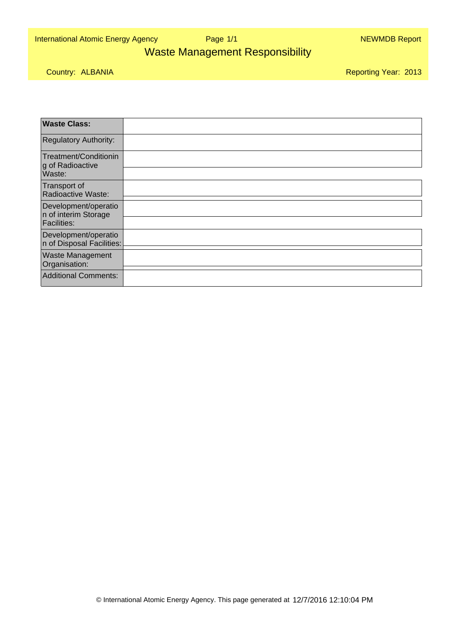International Atomic Energy Agency New York Page 1/1 New York New York NEWMDB Report

Page 1/1

### Waste Management Responsibility

Country: ALBANIA

| <b>Waste Class:</b>                                                |  |
|--------------------------------------------------------------------|--|
| <b>Regulatory Authority:</b>                                       |  |
| Treatment/Conditionin<br>g of Radioactive                          |  |
| Waste:                                                             |  |
| Transport of<br>Radioactive Waste:                                 |  |
| Development/operatio<br>n of interim Storage<br><b>Facilities:</b> |  |
|                                                                    |  |
| Development/operatio<br>n of Disposal Facilities:                  |  |
| <b>Waste Management</b><br>Organisation:                           |  |
| Additional Comments:                                               |  |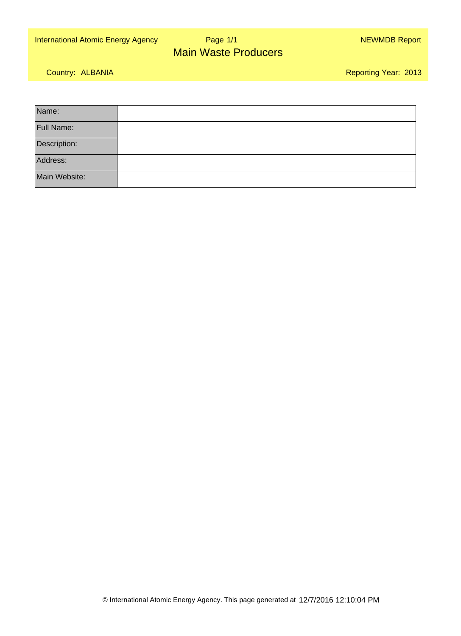#### Page 1/1International Atomic Energy Agency New York Page 1/1 New York New York NEWMDB Report Main Waste Producers

Country: ALBANIA

| Name:         |  |
|---------------|--|
| Full Name:    |  |
| Description:  |  |
| Address:      |  |
| Main Website: |  |